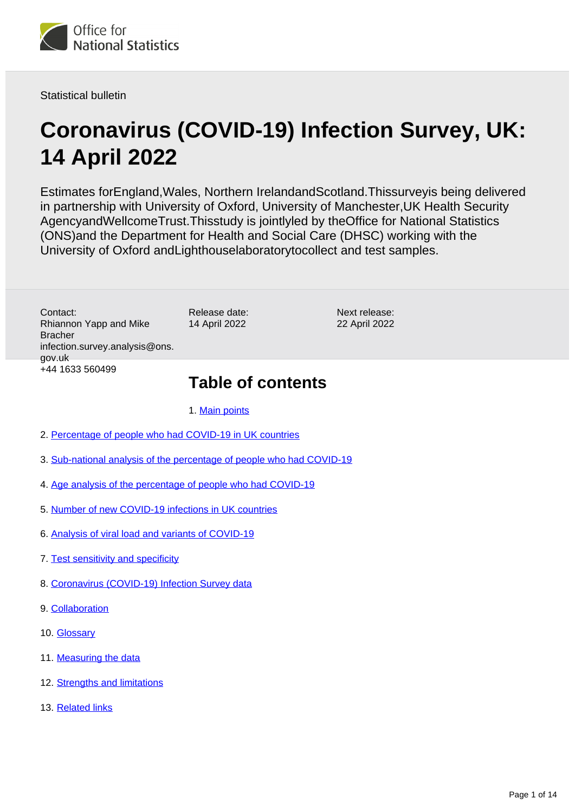

Statistical bulletin

# **Coronavirus (COVID-19) Infection Survey, UK: 14 April 2022**

Estimates forEngland,Wales, Northern IrelandandScotland.Thissurveyis being delivered in partnership with University of Oxford, University of Manchester,UK Health Security AgencyandWellcomeTrust.Thisstudy is jointlyled by theOffice for National Statistics (ONS)and the Department for Health and Social Care (DHSC) working with the University of Oxford andLighthouselaboratorytocollect and test samples.

Contact: Rhiannon Yapp and Mike Bracher infection.survey.analysis@ons. gov.uk +44 1633 560499

Release date: 14 April 2022

Next release: 22 April 2022

## **Table of contents**

1. [Main points](#page-1-0)

- 2. [Percentage of people who had COVID-19 in UK countries](#page-3-0)
- 3. [Sub-national analysis of the percentage of people who had COVID-19](#page-4-0)
- 4. [Age analysis of the percentage of people who had COVID-19](#page-5-0)
- 5. [Number of new COVID-19 infections in UK countries](#page-6-0)
- 6. [Analysis of viral load and variants of COVID-19](#page-7-0)
- 7. [Test sensitivity and specificity](#page-8-0)
- 8. [Coronavirus \(COVID-19\) Infection Survey data](#page-9-0)
- 9. [Collaboration](#page-9-1)
- 10. [Glossary](#page-10-0)
- 11. [Measuring the data](#page-11-0)
- 12. [Strengths and limitations](#page-12-0)
- 13. [Related links](#page-13-0)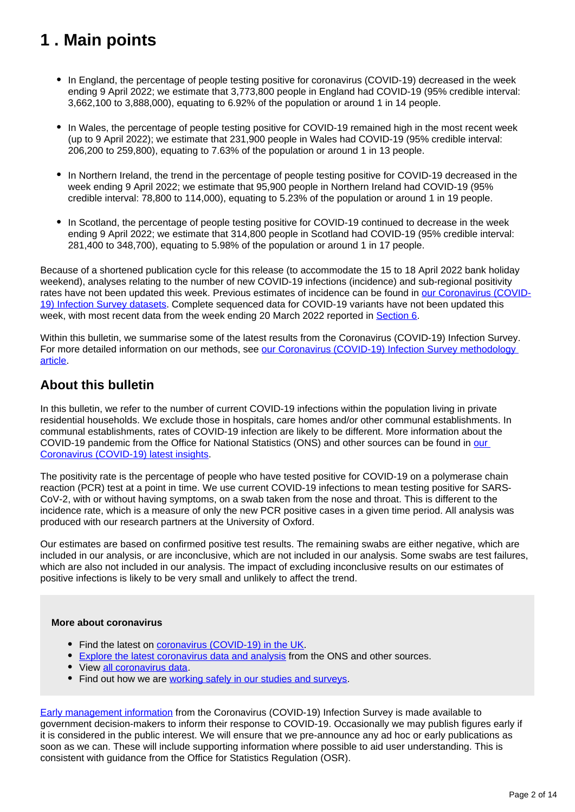## <span id="page-1-0"></span>**1 . Main points**

- In England, the percentage of people testing positive for coronavirus (COVID-19) decreased in the week ending 9 April 2022; we estimate that 3,773,800 people in England had COVID-19 (95% credible interval: 3,662,100 to 3,888,000), equating to 6.92% of the population or around 1 in 14 people.
- In Wales, the percentage of people testing positive for COVID-19 remained high in the most recent week (up to 9 April 2022); we estimate that 231,900 people in Wales had COVID-19 (95% credible interval: 206,200 to 259,800), equating to 7.63% of the population or around 1 in 13 people.
- In Northern Ireland, the trend in the percentage of people testing positive for COVID-19 decreased in the week ending 9 April 2022; we estimate that 95,900 people in Northern Ireland had COVID-19 (95% credible interval: 78,800 to 114,000), equating to 5.23% of the population or around 1 in 19 people.
- In Scotland, the percentage of people testing positive for COVID-19 continued to decrease in the week ending 9 April 2022; we estimate that 314,800 people in Scotland had COVID-19 (95% credible interval: 281,400 to 348,700), equating to 5.98% of the population or around 1 in 17 people.

Because of a shortened publication cycle for this release (to accommodate the 15 to 18 April 2022 bank holiday weekend), analyses relating to the number of new COVID-19 infections (incidence) and sub-regional positivity rates have not been updated this week. Previous estimates of incidence can be found in [our Coronavirus \(COVID-](https://www.ons.gov.uk/peoplepopulationandcommunity/healthandsocialcare/conditionsanddiseases/bulletins/coronaviruscovid19infectionsurveypilot/14april2022/relateddata)[19\) Infection Survey datasets](https://www.ons.gov.uk/peoplepopulationandcommunity/healthandsocialcare/conditionsanddiseases/bulletins/coronaviruscovid19infectionsurveypilot/14april2022/relateddata)</u>. Complete sequenced data for COVID-19 variants have not been updated this week, with most recent data from the week ending 20 March 2022 reported in [Section 6](https://www.ons.gov.uk/peoplepopulationandcommunity/healthandsocialcare/conditionsanddiseases/bulletins/coronaviruscovid19infectionsurveypilot/14april2022#analysis-of-viral-load-and-variants-of-covid-19).

Within this bulletin, we summarise some of the latest results from the Coronavirus (COVID-19) Infection Survey. For more detailed information on our methods, see our Coronavirus (COVID-19) Infection Survey methodology [article.](https://www.ons.gov.uk/peoplepopulationandcommunity/healthandsocialcare/conditionsanddiseases/methodologies/covid19infectionsurveypilotmethodsandfurtherinformation)

### **About this bulletin**

In this bulletin, we refer to the number of current COVID-19 infections within the population living in private residential households. We exclude those in hospitals, care homes and/or other communal establishments. In communal establishments, rates of COVID-19 infection are likely to be different. More information about the COVID-19 pandemic from the Office for National Statistics (ONS) and other sources can be found in our [Coronavirus \(COVID-19\) latest insights](https://www.ons.gov.uk/peoplepopulationandcommunity/healthandsocialcare/conditionsanddiseases/articles/coronaviruscovid19latestinsights/infections).

The positivity rate is the percentage of people who have tested positive for COVID-19 on a polymerase chain reaction (PCR) test at a point in time. We use current COVID-19 infections to mean testing positive for SARS-CoV-2, with or without having symptoms, on a swab taken from the nose and throat. This is different to the incidence rate, which is a measure of only the new PCR positive cases in a given time period. All analysis was produced with our research partners at the University of Oxford.

Our estimates are based on confirmed positive test results. The remaining swabs are either negative, which are included in our analysis, or are inconclusive, which are not included in our analysis. Some swabs are test failures, which are also not included in our analysis. The impact of excluding inconclusive results on our estimates of positive infections is likely to be very small and unlikely to affect the trend.

#### **More about coronavirus**

- Find the latest on [coronavirus \(COVID-19\) in the UK.](https://www.ons.gov.uk/peoplepopulationandcommunity/healthandsocialcare/conditionsanddiseases)
- [Explore the latest coronavirus data and analysis](https://www.ons.gov.uk/peoplepopulationandcommunity/healthandsocialcare/conditionsanddiseases/articles/coronaviruscovid19/latestinsights) from the ONS and other sources.
- View [all coronavirus data](https://www.ons.gov.uk/peoplepopulationandcommunity/healthandsocialcare/conditionsanddiseases/datalist).
- Find out how we are [working safely in our studies and surveys.](https://www.ons.gov.uk/news/statementsandletters/ensuringyoursafetyduringcovid19)

[Early management information](https://www.ons.gov.uk/news/statementsandletters/provisionofearlymanagementinformationbytheonstoinformoperationaldecisionmakingforthepublicgoodduringthecoronaviruspandemic) from the Coronavirus (COVID-19) Infection Survey is made available to government decision-makers to inform their response to COVID-19. Occasionally we may publish figures early if it is considered in the public interest. We will ensure that we pre-announce any ad hoc or early publications as soon as we can. These will include supporting information where possible to aid user understanding. This is consistent with guidance from the Office for Statistics Regulation (OSR).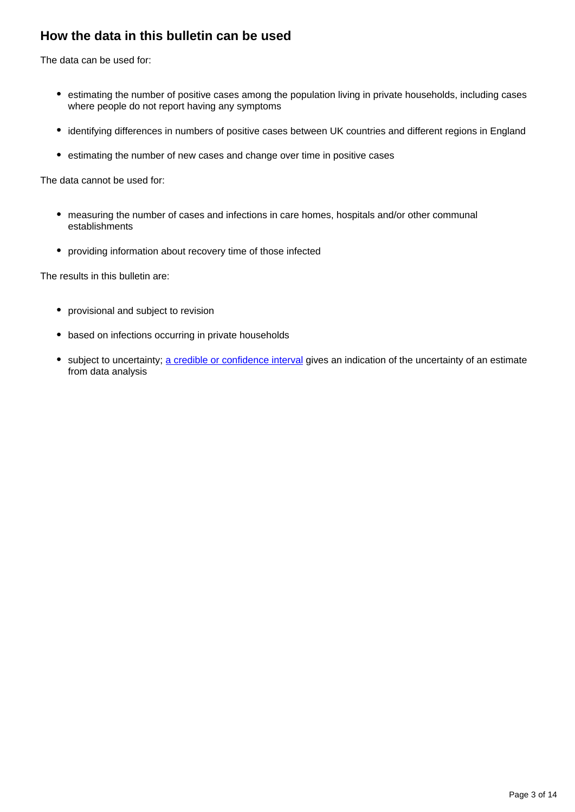## **How the data in this bulletin can be used**

The data can be used for:

- estimating the number of positive cases among the population living in private households, including cases where people do not report having any symptoms
- identifying differences in numbers of positive cases between UK countries and different regions in England
- estimating the number of new cases and change over time in positive cases

The data cannot be used for:

- measuring the number of cases and infections in care homes, hospitals and/or other communal establishments
- providing information about recovery time of those infected

The results in this bulletin are:

- provisional and subject to revision
- based on infections occurring in private households
- subject to uncertainty; [a credible or confidence interval](https://www.ons.gov.uk/peoplepopulationandcommunity/healthandsocialcare/conditionsanddiseases/bulletins/coronaviruscovid19infectionsurveypilot/14april2022#glossary) gives an indication of the uncertainty of an estimate from data analysis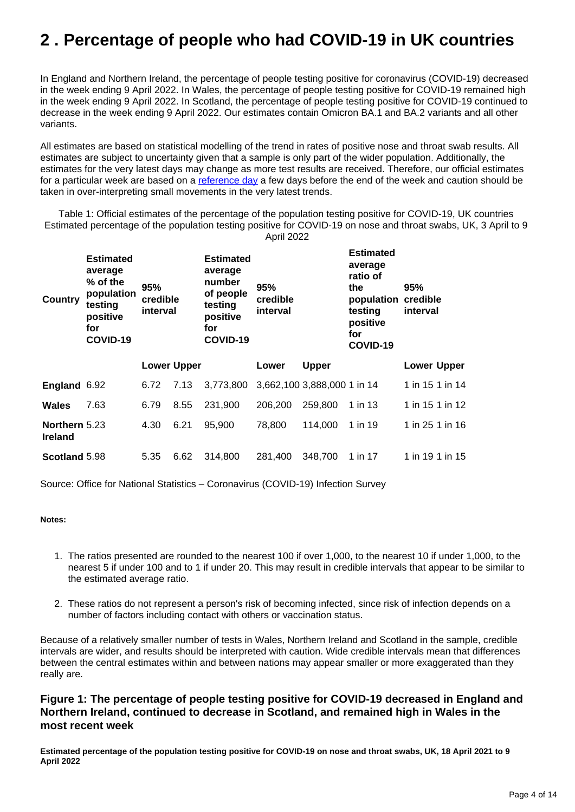## <span id="page-3-0"></span>**2 . Percentage of people who had COVID-19 in UK countries**

In England and Northern Ireland, the percentage of people testing positive for coronavirus (COVID-19) decreased in the week ending 9 April 2022. In Wales, the percentage of people testing positive for COVID-19 remained high in the week ending 9 April 2022. In Scotland, the percentage of people testing positive for COVID-19 continued to decrease in the week ending 9 April 2022. Our estimates contain Omicron BA.1 and BA.2 variants and all other variants.

All estimates are based on statistical modelling of the trend in rates of positive nose and throat swab results. All estimates are subject to uncertainty given that a sample is only part of the wider population. Additionally, the estimates for the very latest days may change as more test results are received. Therefore, our official estimates for a particular week are based on a [reference day](https://www.ons.gov.uk/peoplepopulationandcommunity/healthandsocialcare/conditionsanddiseases/bulletins/coronaviruscovid19infectionsurveypilot/14april2022#measuring-the-data) a few days before the end of the week and caution should be taken in over-interpreting small movements in the very latest trends.

Table 1: Official estimates of the percentage of the population testing positive for COVID-19, UK countries Estimated percentage of the population testing positive for COVID-19 on nose and throat swabs, UK, 3 April to 9 April 2022

| Country                         | <b>Estimated</b><br>average<br>$\%$ of the<br>population<br>testing<br>positive<br>for<br>COVID-19 | 95%<br>credible<br>interval |                    | <b>Estimated</b><br>average<br>number<br>of people<br>testing<br>positive<br>for<br>COVID-19 | 95%<br>credible<br>interval |                             | <b>Estimated</b><br>average<br>ratio of<br>the<br>population credible<br>testing<br>positive<br>for<br>COVID-19 | 95%<br>interval    |
|---------------------------------|----------------------------------------------------------------------------------------------------|-----------------------------|--------------------|----------------------------------------------------------------------------------------------|-----------------------------|-----------------------------|-----------------------------------------------------------------------------------------------------------------|--------------------|
|                                 |                                                                                                    |                             | <b>Lower Upper</b> |                                                                                              | Lower                       | <b>Upper</b>                |                                                                                                                 | <b>Lower Upper</b> |
| England 6.92                    |                                                                                                    | 6.72                        | 7.13               | 3,773,800                                                                                    |                             | 3,662,100 3,888,000 1 in 14 |                                                                                                                 | 1 in 15 1 in 14    |
| Wales                           | 7.63                                                                                               | 6.79                        | 8.55               | 231,900                                                                                      | 206,200                     | 259,800                     | 1 in 13                                                                                                         | 1 in 15 1 in 12    |
| Northern 5.23<br><b>Ireland</b> |                                                                                                    | 4.30                        | 6.21               | 95,900                                                                                       | 78,800                      | 114,000                     | 1 in 19                                                                                                         | 1 in 25 1 in 16    |
| Scotland 5.98                   |                                                                                                    | 5.35                        | 6.62               | 314,800                                                                                      | 281.400                     | 348,700                     | 1 in 17                                                                                                         | 1 in 19 1 in 15    |

Source: Office for National Statistics – Coronavirus (COVID-19) Infection Survey

#### **Notes:**

- 1. The ratios presented are rounded to the nearest 100 if over 1,000, to the nearest 10 if under 1,000, to the nearest 5 if under 100 and to 1 if under 20. This may result in credible intervals that appear to be similar to the estimated average ratio.
- 2. These ratios do not represent a person's risk of becoming infected, since risk of infection depends on a number of factors including contact with others or vaccination status.

Because of a relatively smaller number of tests in Wales, Northern Ireland and Scotland in the sample, credible intervals are wider, and results should be interpreted with caution. Wide credible intervals mean that differences between the central estimates within and between nations may appear smaller or more exaggerated than they really are.

### **Figure 1: The percentage of people testing positive for COVID-19 decreased in England and Northern Ireland, continued to decrease in Scotland, and remained high in Wales in the most recent week**

**Estimated percentage of the population testing positive for COVID-19 on nose and throat swabs, UK, 18 April 2021 to 9 April 2022**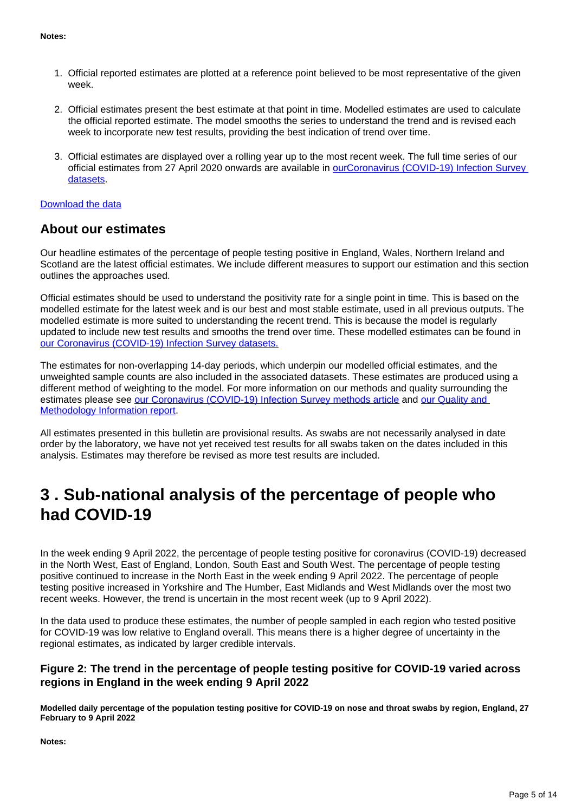- 1. Official reported estimates are plotted at a reference point believed to be most representative of the given week.
- 2. Official estimates present the best estimate at that point in time. Modelled estimates are used to calculate the official reported estimate. The model smooths the series to understand the trend and is revised each week to incorporate new test results, providing the best indication of trend over time.
- 3. Official estimates are displayed over a rolling year up to the most recent week. The full time series of our official estimates from 27 April 2020 onwards are available in [ourCoronavirus \(COVID-19\) Infection Survey](https://www.ons.gov.uk/peoplepopulationandcommunity/healthandsocialcare/conditionsanddiseases/bulletins/coronaviruscovid19infectionsurveypilot/14april2022/relateddata)  [datasets.](https://www.ons.gov.uk/peoplepopulationandcommunity/healthandsocialcare/conditionsanddiseases/bulletins/coronaviruscovid19infectionsurveypilot/14april2022/relateddata)

#### [Download the data](https://www.ons.gov.uk/visualisations/dvc1927/officialestimates/datadownload.xlsx)

### **About our estimates**

Our headline estimates of the percentage of people testing positive in England, Wales, Northern Ireland and Scotland are the latest official estimates. We include different measures to support our estimation and this section outlines the approaches used.

Official estimates should be used to understand the positivity rate for a single point in time. This is based on the modelled estimate for the latest week and is our best and most stable estimate, used in all previous outputs. The modelled estimate is more suited to understanding the recent trend. This is because the model is regularly updated to include new test results and smooths the trend over time. These modelled estimates can be found in [our Coronavirus \(COVID-19\) Infection Survey datasets.](https://www.ons.gov.uk/peoplepopulationandcommunity/healthandsocialcare/conditionsanddiseases/bulletins/coronaviruscovid19infectionsurveypilot/14april2022/relateddata)

The estimates for non-overlapping 14-day periods, which underpin our modelled official estimates, and the unweighted sample counts are also included in the associated datasets. These estimates are produced using a different method of weighting to the model. For more information on our methods and quality surrounding the estimates please see [our Coronavirus \(COVID-19\) Infection Survey methods article](https://www.ons.gov.uk/peoplepopulationandcommunity/healthandsocialcare/conditionsanddiseases/methodologies/covid19infectionsurveypilotmethodsandfurtherinformation) and [our Quality and](https://www.ons.gov.uk/peoplepopulationandcommunity/healthandsocialcare/conditionsanddiseases/methodologies/coronaviruscovid19infectionsurveyqmi)  [Methodology Information report.](https://www.ons.gov.uk/peoplepopulationandcommunity/healthandsocialcare/conditionsanddiseases/methodologies/coronaviruscovid19infectionsurveyqmi)

All estimates presented in this bulletin are provisional results. As swabs are not necessarily analysed in date order by the laboratory, we have not yet received test results for all swabs taken on the dates included in this analysis. Estimates may therefore be revised as more test results are included.

## <span id="page-4-0"></span>**3 . Sub-national analysis of the percentage of people who had COVID-19**

In the week ending 9 April 2022, the percentage of people testing positive for coronavirus (COVID-19) decreased in the North West, East of England, London, South East and South West. The percentage of people testing positive continued to increase in the North East in the week ending 9 April 2022. The percentage of people testing positive increased in Yorkshire and The Humber, East Midlands and West Midlands over the most two recent weeks. However, the trend is uncertain in the most recent week (up to 9 April 2022).

In the data used to produce these estimates, the number of people sampled in each region who tested positive for COVID-19 was low relative to England overall. This means there is a higher degree of uncertainty in the regional estimates, as indicated by larger credible intervals.

### **Figure 2: The trend in the percentage of people testing positive for COVID-19 varied across regions in England in the week ending 9 April 2022**

**Modelled daily percentage of the population testing positive for COVID-19 on nose and throat swabs by region, England, 27 February to 9 April 2022** 

**Notes:**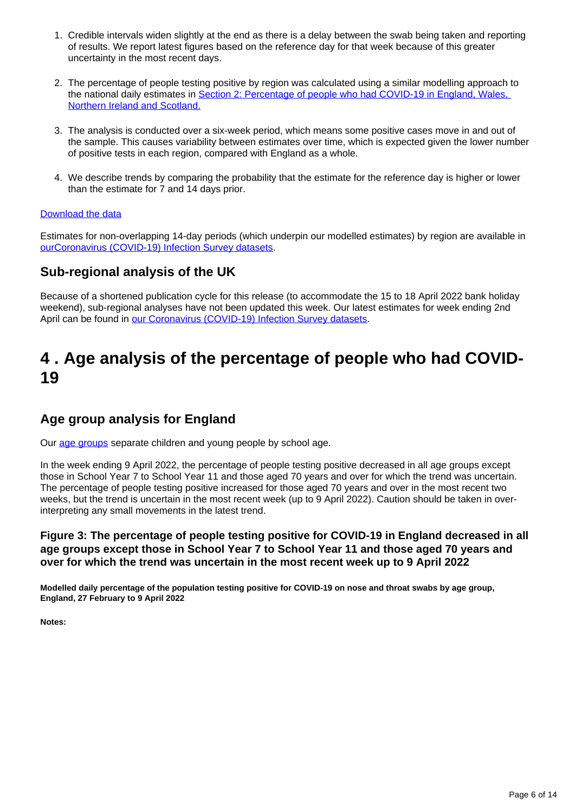- 1. Credible intervals widen slightly at the end as there is a delay between the swab being taken and reporting of results. We report latest figures based on the reference day for that week because of this greater uncertainty in the most recent days.
- 2. The percentage of people testing positive by region was calculated using a similar modelling approach to the national daily estimates in [Section 2: Percentage of people who had COVID-19 in England, Wales,](https://www.ons.gov.uk/peoplepopulationandcommunity/healthandsocialcare/conditionsanddiseases/bulletins/coronaviruscovid19infectionsurveypilot/14april2022#percentage-of-people-who-had-covid-19-in-uk-countries)  [Northern Ireland and Scotland.](https://www.ons.gov.uk/peoplepopulationandcommunity/healthandsocialcare/conditionsanddiseases/bulletins/coronaviruscovid19infectionsurveypilot/14april2022#percentage-of-people-who-had-covid-19-in-uk-countries)
- 3. The analysis is conducted over a six-week period, which means some positive cases move in and out of the sample. This causes variability between estimates over time, which is expected given the lower number of positive tests in each region, compared with England as a whole.
- 4. We describe trends by comparing the probability that the estimate for the reference day is higher or lower than the estimate for 7 and 14 days prior.

#### [Download the data](https://www.ons.gov.uk/visualisations/dvc1927/region/datadownload.xlsx)

Estimates for non-overlapping 14-day periods (which underpin our modelled estimates) by region are available in [ourCoronavirus \(COVID-19\) Infection Survey datasets.](https://www.ons.gov.uk/peoplepopulationandcommunity/healthandsocialcare/conditionsanddiseases/bulletins/coronaviruscovid19infectionsurveypilot/14april2022/relateddata)

### **Sub-regional analysis of the UK**

Because of a shortened publication cycle for this release (to accommodate the 15 to 18 April 2022 bank holiday weekend), sub-regional analyses have not been updated this week. Our latest estimates for week ending 2nd April can be found in [our Coronavirus \(COVID-19\) Infection Survey datasets](https://www.ons.gov.uk/peoplepopulationandcommunity/healthandsocialcare/conditionsanddiseases/bulletins/coronaviruscovid19infectionsurveypilot/14april2022/relateddata).

## <span id="page-5-0"></span>**4 . Age analysis of the percentage of people who had COVID-19**

### **Age group analysis for England**

Our [age groups](http://www.ons.gov.uk/peoplepopulationandcommunity/healthandsocialcare/conditionsanddiseases/bulletins/coronaviruscovid19infectionsurveypilot/14april2022/#glossary) separate children and young people by school age.

In the week ending 9 April 2022, the percentage of people testing positive decreased in all age groups except those in School Year 7 to School Year 11 and those aged 70 years and over for which the trend was uncertain. The percentage of people testing positive increased for those aged 70 years and over in the most recent two weeks, but the trend is uncertain in the most recent week (up to 9 April 2022). Caution should be taken in overinterpreting any small movements in the latest trend.

### **Figure 3: The percentage of people testing positive for COVID-19 in England decreased in all age groups except those in School Year 7 to School Year 11 and those aged 70 years and over for which the trend was uncertain in the most recent week up to 9 April 2022**

**Modelled daily percentage of the population testing positive for COVID-19 on nose and throat swabs by age group, England, 27 February to 9 April 2022**

**Notes:**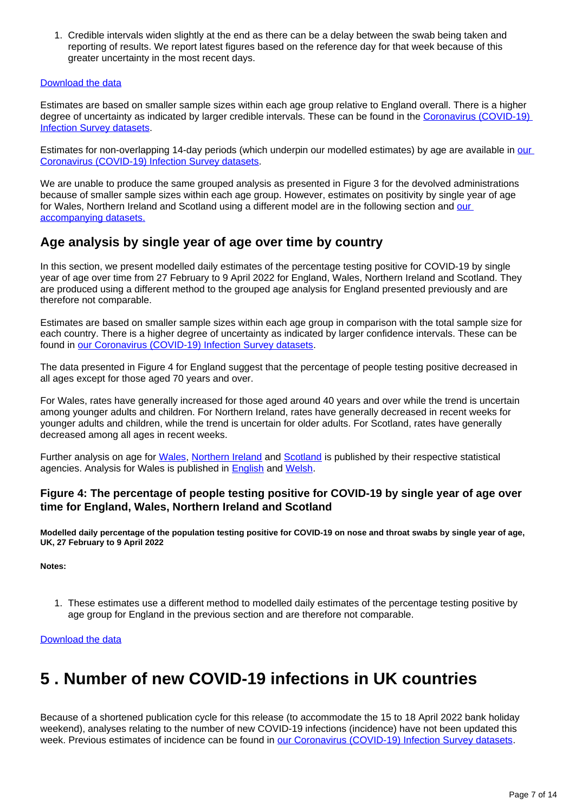1. Credible intervals widen slightly at the end as there can be a delay between the swab being taken and reporting of results. We report latest figures based on the reference day for that week because of this greater uncertainty in the most recent days.

#### [Download the data](https://www.ons.gov.uk/visualisations/dvc1927/age/datadownload.xlsx)

Estimates are based on smaller sample sizes within each age group relative to England overall. There is a higher degree of uncertainty as indicated by larger credible intervals. These can be found in the Coronavirus (COVID-19) [Infection Survey datasets](https://www.ons.gov.uk/peoplepopulationandcommunity/healthandsocialcare/conditionsanddiseases/bulletins/coronaviruscovid19infectionsurveypilot/14april2022/relateddata).

Estimates for non-overlapping 14-day periods (which underpin [our](https://www.ons.gov.uk/peoplepopulationandcommunity/healthandsocialcare/conditionsanddiseases/bulletins/coronaviruscovid19infectionsurveypilot/14april2022/relateddata) modelled estimates) by age are available in our [Coronavirus \(COVID-19\) Infection Survey datasets](https://www.ons.gov.uk/peoplepopulationandcommunity/healthandsocialcare/conditionsanddiseases/bulletins/coronaviruscovid19infectionsurveypilot/14april2022/relateddata).

We are unable to produce the same grouped analysis as presented in Figure 3 for the devolved administrations because of smaller sample sizes within each age group. However, estimates on positivity by single year of age for Wales, Northern Ireland and Scotland using a different model are in the following section and our [accompanying datasets.](https://www.ons.gov.uk/peoplepopulationandcommunity/healthandsocialcare/conditionsanddiseases/bulletins/coronaviruscovid19infectionsurveypilot/14april2022/relateddata)

### **Age analysis by single year of age over time by country**

In this section, we present modelled daily estimates of the percentage testing positive for COVID-19 by single year of age over time from 27 February to 9 April 2022 for England, Wales, Northern Ireland and Scotland. They are produced using a different method to the grouped age analysis for England presented previously and are therefore not comparable.

Estimates are based on smaller sample sizes within each age group in comparison with the total sample size for each country. There is a higher degree of uncertainty as indicated by larger confidence intervals. These can be found in [our Coronavirus \(COVID-19\) Infection Survey datasets](https://www.ons.gov.uk/peoplepopulationandcommunity/healthandsocialcare/conditionsanddiseases/bulletins/coronaviruscovid19infectionsurveypilot/14april2022/relateddata).

The data presented in Figure 4 for England suggest that the percentage of people testing positive decreased in all ages except for those aged 70 years and over.

For Wales, rates have generally increased for those aged around 40 years and over while the trend is uncertain among younger adults and children. For Northern Ireland, rates have generally decreased in recent weeks for younger adults and children, while the trend is uncertain for older adults. For Scotland, rates have generally decreased among all ages in recent weeks.

Further analysis on age for [Wales,](https://gov.wales/coronavirus-covid-19-infection-survey-positivity-estimates) [Northern Ireland](https://www.health-ni.gov.uk/articles/covid-19-infection-survey) and [Scotland](https://www.gov.scot/collections/coronavirus-covid-19-infection-survey/) is published by their respective statistical agencies. Analysis for Wales is published in **English** and [Welsh](https://llyw.cymru/arolwg-heintiadau-coronafeirws-covid-19-amcangyfrifon-positifedd).

### **Figure 4: The percentage of people testing positive for COVID-19 by single year of age over time for England, Wales, Northern Ireland and Scotland**

**Modelled daily percentage of the population testing positive for COVID-19 on nose and throat swabs by single year of age, UK, 27 February to 9 April 2022**

**Notes:**

1. These estimates use a different method to modelled daily estimates of the percentage testing positive by age group for England in the previous section and are therefore not comparable.

[Download the data](https://www.ons.gov.uk/visualisations/dvc1927/syoa/datadownload.xlsx)

## <span id="page-6-0"></span>**5 . Number of new COVID-19 infections in UK countries**

Because of a shortened publication cycle for this release (to accommodate the 15 to 18 April 2022 bank holiday weekend), analyses relating to the number of new COVID-19 infections (incidence) have not been updated this week. Previous estimates of incidence can be found in [our Coronavirus \(COVID-19\) Infection Survey datasets](https://www.ons.gov.uk/peoplepopulationandcommunity/healthandsocialcare/conditionsanddiseases/bulletins/coronaviruscovid19infectionsurveypilot/14april2022/relateddata).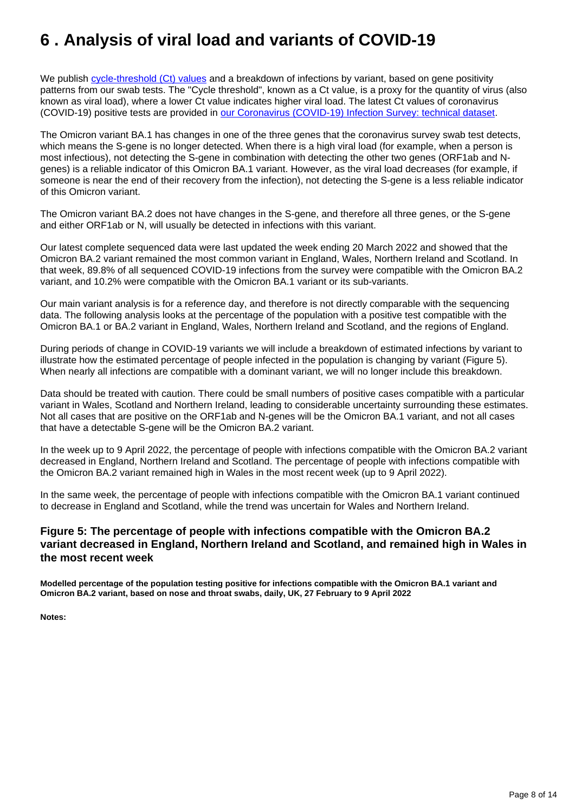## <span id="page-7-0"></span>**6 . Analysis of viral load and variants of COVID-19**

We publish [cycle-threshold \(Ct\) values](http://www.ons.gov.uk/peoplepopulationandcommunity/healthandsocialcare/conditionsanddiseases/bulletins/coronaviruscovid19infectionsurveypilot/14april2022/#glossary) and a breakdown of infections by variant, based on gene positivity patterns from our swab tests. The "Cycle threshold", known as a Ct value, is a proxy for the quantity of virus (also known as viral load), where a lower Ct value indicates higher viral load. The latest Ct values of coronavirus (COVID-19) positive tests are provided in [our Coronavirus \(COVID-19\) Infection Survey: technical dataset.](https://www.ons.gov.uk/peoplepopulationandcommunity/healthandsocialcare/conditionsanddiseases/datasets/covid19infectionsurveytechnicaldata)

The Omicron variant BA.1 has changes in one of the three genes that the coronavirus survey swab test detects, which means the S-gene is no longer detected. When there is a high viral load (for example, when a person is most infectious), not detecting the S-gene in combination with detecting the other two genes (ORF1ab and Ngenes) is a reliable indicator of this Omicron BA.1 variant. However, as the viral load decreases (for example, if someone is near the end of their recovery from the infection), not detecting the S-gene is a less reliable indicator of this Omicron variant.

The Omicron variant BA.2 does not have changes in the S-gene, and therefore all three genes, or the S-gene and either ORF1ab or N, will usually be detected in infections with this variant.

Our latest complete sequenced data were last updated the week ending 20 March 2022 and showed that the Omicron BA.2 variant remained the most common variant in England, Wales, Northern Ireland and Scotland. In that week, 89.8% of all sequenced COVID-19 infections from the survey were compatible with the Omicron BA.2 variant, and 10.2% were compatible with the Omicron BA.1 variant or its sub-variants.

Our main variant analysis is for a reference day, and therefore is not directly comparable with the sequencing data. The following analysis looks at the percentage of the population with a positive test compatible with the Omicron BA.1 or BA.2 variant in England, Wales, Northern Ireland and Scotland, and the regions of England.

During periods of change in COVID-19 variants we will include a breakdown of estimated infections by variant to illustrate how the estimated percentage of people infected in the population is changing by variant (Figure 5). When nearly all infections are compatible with a dominant variant, we will no longer include this breakdown.

Data should be treated with caution. There could be small numbers of positive cases compatible with a particular variant in Wales, Scotland and Northern Ireland, leading to considerable uncertainty surrounding these estimates. Not all cases that are positive on the ORF1ab and N-genes will be the Omicron BA.1 variant, and not all cases that have a detectable S-gene will be the Omicron BA.2 variant.

In the week up to 9 April 2022, the percentage of people with infections compatible with the Omicron BA.2 variant decreased in England, Northern Ireland and Scotland. The percentage of people with infections compatible with the Omicron BA.2 variant remained high in Wales in the most recent week (up to 9 April 2022).

In the same week, the percentage of people with infections compatible with the Omicron BA.1 variant continued to decrease in England and Scotland, while the trend was uncertain for Wales and Northern Ireland.

### **Figure 5: The percentage of people with infections compatible with the Omicron BA.2 variant decreased in England, Northern Ireland and Scotland, and remained high in Wales in the most recent week**

**Modelled percentage of the population testing positive for infections compatible with the Omicron BA.1 variant and Omicron BA.2 variant, based on nose and throat swabs, daily, UK, 27 February to 9 April 2022**

**Notes:**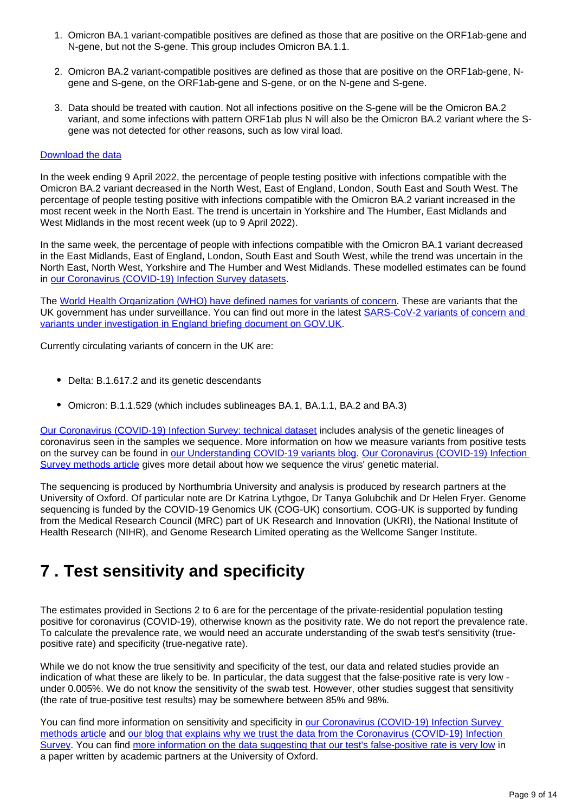- 1. Omicron BA.1 variant-compatible positives are defined as those that are positive on the ORF1ab-gene and N-gene, but not the S-gene. This group includes Omicron BA.1.1.
- 2. Omicron BA.2 variant-compatible positives are defined as those that are positive on the ORF1ab-gene, Ngene and S-gene, on the ORF1ab-gene and S-gene, or on the N-gene and S-gene.
- 3. Data should be treated with caution. Not all infections positive on the S-gene will be the Omicron BA.2 variant, and some infections with pattern ORF1ab plus N will also be the Omicron BA.2 variant where the Sgene was not detected for other reasons, such as low viral load.

#### [Download the data](https://www.ons.gov.uk/visualisations/dvc1927/variantsuk/datadownload.xlsx)

In the week ending 9 April 2022, the percentage of people testing positive with infections compatible with the Omicron BA.2 variant decreased in the North West, East of England, London, South East and South West. The percentage of people testing positive with infections compatible with the Omicron BA.2 variant increased in the most recent week in the North East. The trend is uncertain in Yorkshire and The Humber, East Midlands and West Midlands in the most recent week (up to 9 April 2022).

In the same week, the percentage of people with infections compatible with the Omicron BA.1 variant decreased in the East Midlands, East of England, London, South East and South West, while the trend was uncertain in the North East, North West, Yorkshire and The Humber and West Midlands. These modelled estimates can be found in [our Coronavirus \(COVID-19\) Infection Survey datasets](http://www.ons.gov.uk/peoplepopulationandcommunity/healthandsocialcare/conditionsanddiseases/bulletins/coronaviruscovid19infectionsurveypilot/14april2022/relateddata).

The [World Health Organization \(WHO\) have defined names for variants of concern.](https://www.who.int/en/activities/tracking-SARS-CoV-2-variants/) These are variants that the UK government has under surveillance. You can find out more in the latest SARS-CoV-2 variants of concern and [variants under investigation in England briefing document on GOV.UK](https://www.gov.uk/government/publications/investigation-of-sars-cov-2-variants-technical-briefings).

Currently circulating variants of concern in the UK are:

- Delta: B.1.617.2 and its genetic descendants
- Omicron: B.1.1.529 (which includes sublineages BA.1, BA.1.1, BA.2 and BA.3)

[Our Coronavirus \(COVID-19\) Infection Survey: technical dataset](https://www.ons.gov.uk/peoplepopulationandcommunity/healthandsocialcare/conditionsanddiseases/datasets/covid19infectionsurveytechnicaldata) includes analysis of the genetic lineages of coronavirus seen in the samples we sequence. More information on how we measure variants from positive tests on the survey can be found in [our Understanding COVID-19 variants blog](https://blog.ons.gov.uk/2021/05/28/understanding-covid-19-variants-what-can-the-coronavirus-infection-survey-tell-us). Our Coronavirus (COVID-19) Infection [Survey methods article](https://www.ons.gov.uk/peoplepopulationandcommunity/healthandsocialcare/conditionsanddiseases/methodologies/covid19infectionsurveypilotmethodsandfurtherinformation) gives more detail about how we sequence the virus' genetic material.

The sequencing is produced by Northumbria University and analysis is produced by research partners at the University of Oxford. Of particular note are Dr Katrina Lythgoe, Dr Tanya Golubchik and Dr Helen Fryer. Genome sequencing is funded by the COVID-19 Genomics UK (COG-UK) consortium. COG-UK is supported by funding from the Medical Research Council (MRC) part of UK Research and Innovation (UKRI), the National Institute of Health Research (NIHR), and Genome Research Limited operating as the Wellcome Sanger Institute.

## <span id="page-8-0"></span>**7 . Test sensitivity and specificity**

The estimates provided in Sections 2 to 6 are for the percentage of the private-residential population testing positive for coronavirus (COVID-19), otherwise known as the positivity rate. We do not report the prevalence rate. To calculate the prevalence rate, we would need an accurate understanding of the swab test's sensitivity (truepositive rate) and specificity (true-negative rate).

While we do not know the true sensitivity and specificity of the test, our data and related studies provide an indication of what these are likely to be. In particular, the data suggest that the false-positive rate is very low under 0.005%. We do not know the sensitivity of the swab test. However, other studies suggest that sensitivity (the rate of true-positive test results) may be somewhere between 85% and 98%.

You can find more information on sensitivity and specificity in [our Coronavirus \(COVID-19\) Infection Survey](https://www.ons.gov.uk/peoplepopulationandcommunity/healthandsocialcare/conditionsanddiseases/methodologies/covid19infectionsurveypilotmethodsandfurtherinformation#test-sensitivity-and-specificity)  [methods article](https://www.ons.gov.uk/peoplepopulationandcommunity/healthandsocialcare/conditionsanddiseases/methodologies/covid19infectionsurveypilotmethodsandfurtherinformation#test-sensitivity-and-specificity) and [our blog that explains why we trust the data from the Coronavirus \(COVID-19\) Infection](https://blog.ons.gov.uk/2021/04/09/accuracy-and-confidence-why-we-trust-the-data-from-the-covid-19-infection-survey/)  [Survey](https://blog.ons.gov.uk/2021/04/09/accuracy-and-confidence-why-we-trust-the-data-from-the-covid-19-infection-survey/). You can find [more information on the data suggesting that our test's false-positive rate is very low](https://www.medrxiv.org/content/10.1101/2020.10.25.20219048v2) in a paper written by academic partners at the University of Oxford.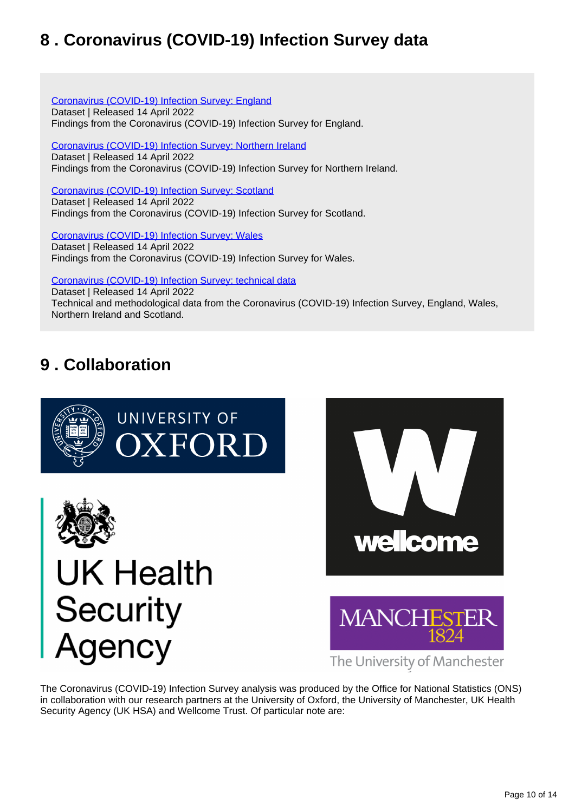## <span id="page-9-0"></span>**8 . Coronavirus (COVID-19) Infection Survey data**

[Coronavirus \(COVID-19\) Infection Survey: England](https://www.ons.gov.uk/peoplepopulationandcommunity/healthandsocialcare/conditionsanddiseases/datasets/coronaviruscovid19infectionsurveydata) Dataset | Released 14 April 2022 Findings from the Coronavirus (COVID-19) Infection Survey for England.

[Coronavirus \(COVID-19\) Infection Survey: Northern Ireland](https://www.ons.gov.uk/peoplepopulationandcommunity/healthandsocialcare/conditionsanddiseases/datasets/covid19infectionsurveynorthernireland) Dataset | Released 14 April 2022 Findings from the Coronavirus (COVID-19) Infection Survey for Northern Ireland.

[Coronavirus \(COVID-19\) Infection Survey: Scotland](https://www.ons.gov.uk/peoplepopulationandcommunity/healthandsocialcare/conditionsanddiseases/datasets/covid19infectionsurveyscotland) Dataset | Released 14 April 2022 Findings from the Coronavirus (COVID-19) Infection Survey for Scotland.

[Coronavirus \(COVID-19\) Infection Survey: Wales](https://www.ons.gov.uk/peoplepopulationandcommunity/healthandsocialcare/conditionsanddiseases/datasets/covid19infectionsurveywales) Dataset | Released 14 April 2022 Findings from the Coronavirus (COVID-19) Infection Survey for Wales.

[Coronavirus \(COVID-19\) Infection Survey: technical data](https://www.ons.gov.uk/peoplepopulationandcommunity/healthandsocialcare/conditionsanddiseases/datasets/covid19infectionsurveytechnicaldata)

Dataset | Released 14 April 2022 Technical and methodological data from the Coronavirus (COVID-19) Infection Survey, England, Wales, Northern Ireland and Scotland.

## <span id="page-9-1"></span>**9 . Collaboration**









The University of Manchester

The Coronavirus (COVID-19) Infection Survey analysis was produced by the Office for National Statistics (ONS) in collaboration with our research partners at the University of Oxford, the University of Manchester, UK Health Security Agency (UK HSA) and Wellcome Trust. Of particular note are: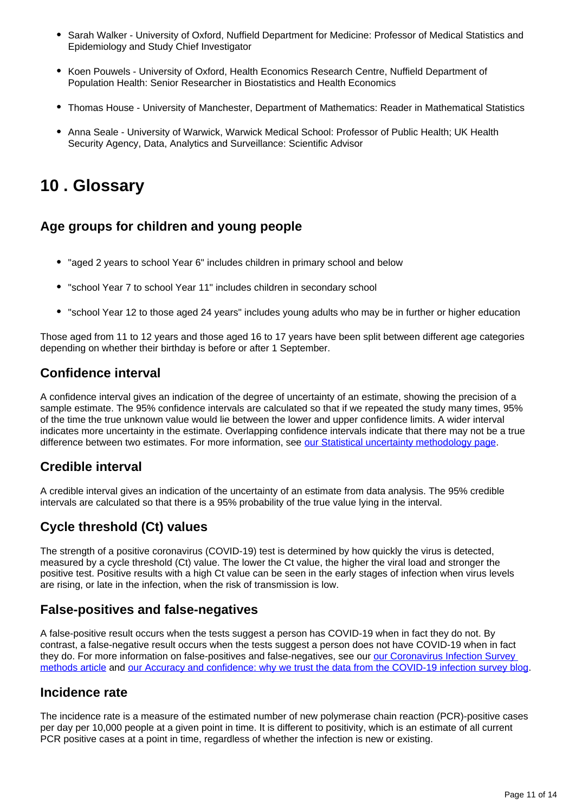- Sarah Walker University of Oxford, Nuffield Department for Medicine: Professor of Medical Statistics and Epidemiology and Study Chief Investigator
- Koen Pouwels University of Oxford, Health Economics Research Centre, Nuffield Department of Population Health: Senior Researcher in Biostatistics and Health Economics
- Thomas House University of Manchester, Department of Mathematics: Reader in Mathematical Statistics
- Anna Seale University of Warwick, Warwick Medical School: Professor of Public Health; UK Health Security Agency, Data, Analytics and Surveillance: Scientific Advisor

## <span id="page-10-0"></span>**10 . Glossary**

## **Age groups for children and young people**

- "aged 2 years to school Year 6" includes children in primary school and below
- "school Year 7 to school Year 11" includes children in secondary school
- "school Year 12 to those aged 24 years" includes young adults who may be in further or higher education

Those aged from 11 to 12 years and those aged 16 to 17 years have been split between different age categories depending on whether their birthday is before or after 1 September.

## **Confidence interval**

A confidence interval gives an indication of the degree of uncertainty of an estimate, showing the precision of a sample estimate. The 95% confidence intervals are calculated so that if we repeated the study many times, 95% of the time the true unknown value would lie between the lower and upper confidence limits. A wider interval indicates more uncertainty in the estimate. Overlapping confidence intervals indicate that there may not be a true difference between two estimates. For more information, see [our Statistical uncertainty methodology page.](https://www.ons.gov.uk/methodology/methodologytopicsandstatisticalconcepts/uncertaintyandhowwemeasureit)

### **Credible interval**

A credible interval gives an indication of the uncertainty of an estimate from data analysis. The 95% credible intervals are calculated so that there is a 95% probability of the true value lying in the interval.

## **Cycle threshold (Ct) values**

The strength of a positive coronavirus (COVID-19) test is determined by how quickly the virus is detected, measured by a cycle threshold (Ct) value. The lower the Ct value, the higher the viral load and stronger the positive test. Positive results with a high Ct value can be seen in the early stages of infection when virus levels are rising, or late in the infection, when the risk of transmission is low.

### **False-positives and false-negatives**

A false-positive result occurs when the tests suggest a person has COVID-19 when in fact they do not. By contrast, a false-negative result occurs when the tests suggest a person does not have COVID-19 when in fact they do. For more information on false-positives and false-negatives, see our our Coronavirus Infection Survey [methods article](https://www.ons.gov.uk/peoplepopulationandcommunity/healthandsocialcare/conditionsanddiseases/methodologies/covid19infectionsurveypilotmethodsandfurtherinformation#test-sensitivity-and-specificity) and [our Accuracy and confidence: why we trust the data from the COVID-19 infection survey blog](https://blog.ons.gov.uk/2021/04/09/accuracy-and-confidence-why-we-trust-the-data-from-the-covid-19-infection-survey/).

### **Incidence rate**

The incidence rate is a measure of the estimated number of new polymerase chain reaction (PCR)-positive cases per day per 10,000 people at a given point in time. It is different to positivity, which is an estimate of all current PCR positive cases at a point in time, regardless of whether the infection is new or existing.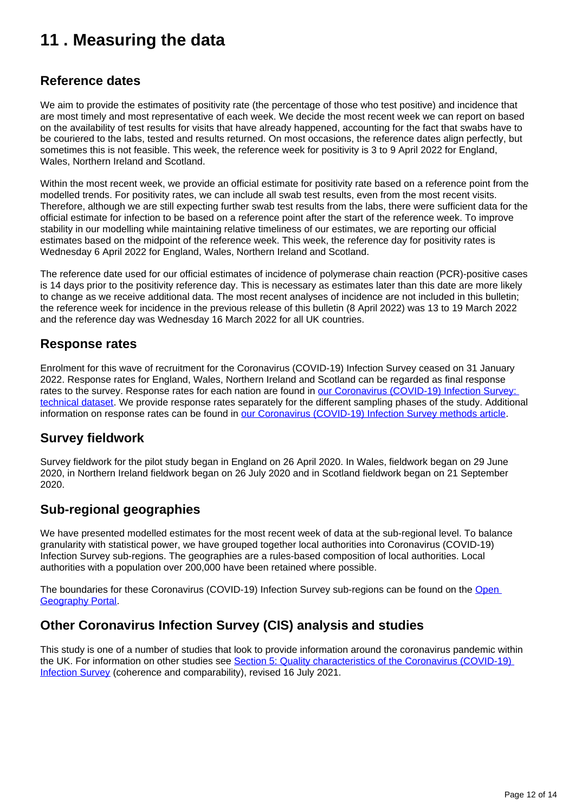## <span id="page-11-0"></span>**11 . Measuring the data**

### **Reference dates**

We aim to provide the estimates of positivity rate (the percentage of those who test positive) and incidence that are most timely and most representative of each week. We decide the most recent week we can report on based on the availability of test results for visits that have already happened, accounting for the fact that swabs have to be couriered to the labs, tested and results returned. On most occasions, the reference dates align perfectly, but sometimes this is not feasible. This week, the reference week for positivity is 3 to 9 April 2022 for England, Wales, Northern Ireland and Scotland.

Within the most recent week, we provide an official estimate for positivity rate based on a reference point from the modelled trends. For positivity rates, we can include all swab test results, even from the most recent visits. Therefore, although we are still expecting further swab test results from the labs, there were sufficient data for the official estimate for infection to be based on a reference point after the start of the reference week. To improve stability in our modelling while maintaining relative timeliness of our estimates, we are reporting our official estimates based on the midpoint of the reference week. This week, the reference day for positivity rates is Wednesday 6 April 2022 for England, Wales, Northern Ireland and Scotland.

The reference date used for our official estimates of incidence of polymerase chain reaction (PCR)-positive cases is 14 days prior to the positivity reference day. This is necessary as estimates later than this date are more likely to change as we receive additional data. The most recent analyses of incidence are not included in this bulletin; the reference week for incidence in the previous release of this bulletin (8 April 2022) was 13 to 19 March 2022 and the reference day was Wednesday 16 March 2022 for all UK countries.

### **Response rates**

Enrolment for this wave of recruitment for the Coronavirus (COVID-19) Infection Survey ceased on 31 January 2022. Response rates for England, Wales, Northern Ireland and Scotland can be regarded as final response rates to the survey. Response rates for each nation are found in our Coronavirus (COVID-19) Infection Survey: [technical dataset.](https://www.ons.gov.uk/peoplepopulationandcommunity/healthandsocialcare/conditionsanddiseases/datasets/covid19infectionsurveytechnicaldata) We provide response rates separately for the different sampling phases of the study. Additional information on response rates can be found in [our Coronavirus \(COVID-19\) Infection Survey methods article.](https://www.ons.gov.uk/peoplepopulationandcommunity/healthandsocialcare/conditionsanddiseases/methodologies/covid19infectionsurveypilotmethodsandfurtherinformation#study-design-sampling)

### **Survey fieldwork**

Survey fieldwork for the pilot study began in England on 26 April 2020. In Wales, fieldwork began on 29 June 2020, in Northern Ireland fieldwork began on 26 July 2020 and in Scotland fieldwork began on 21 September 2020.

### **Sub-regional geographies**

We have presented modelled estimates for the most recent week of data at the sub-regional level. To balance granularity with statistical power, we have grouped together local authorities into Coronavirus (COVID-19) Infection Survey sub-regions. The geographies are a rules-based composition of local authorities. Local authorities with a population over 200,000 have been retained where possible.

The boundaries for these Coronavirus (COVID-19) Infection Survey sub-regions can be found on the [Open](https://geoportal.statistics.gov.uk/search?collection=Dataset&sort=name&tags=all%28BDY_CIS%2COCT_2020)  [Geography Portal.](https://geoportal.statistics.gov.uk/search?collection=Dataset&sort=name&tags=all%28BDY_CIS%2COCT_2020)

## **Other Coronavirus Infection Survey (CIS) analysis and studies**

This study is one of a number of studies that look to provide information around the coronavirus pandemic within the UK. For information on other studies see [Section 5: Quality characteristics of the Coronavirus \(COVID-19\)](https://www.ons.gov.uk/peoplepopulationandcommunity/healthandsocialcare/conditionsanddiseases/methodologies/coronaviruscovid19infectionsurveyqmi#quality-characteristics-of-the-coronavirus-covid-19-infection-survey)  [Infection Survey](https://www.ons.gov.uk/peoplepopulationandcommunity/healthandsocialcare/conditionsanddiseases/methodologies/coronaviruscovid19infectionsurveyqmi#quality-characteristics-of-the-coronavirus-covid-19-infection-survey) (coherence and comparability), revised 16 July 2021.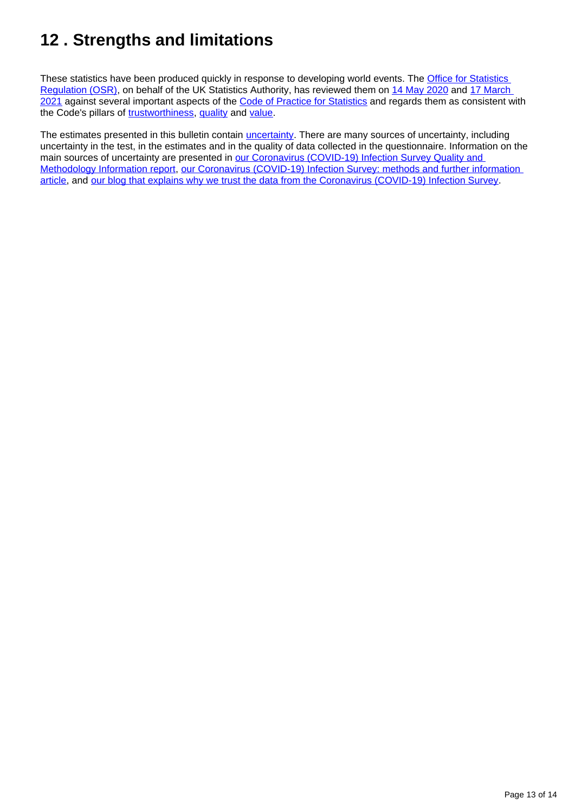## <span id="page-12-0"></span>**12 . Strengths and limitations**

These statistics have been produced quickly in response to developing world events. The **Office for Statistics** [Regulation \(OSR\)](https://osr.statisticsauthority.gov.uk/), on behalf of the UK Statistics Authority, has reviewed them on [14 May 2020](https://osr.statisticsauthority.gov.uk/correspondence/review-of-coronavirus-covid-19-infection-survey/) and 17 March [2021](https://osr.statisticsauthority.gov.uk/correspondence/ed-humpherson-to-iain-bell-ons-covid-19-infection-survey-statistics/) against several important aspects of the [Code of Practice for Statistics](https://code.statisticsauthority.gov.uk/the-code/) and regards them as consistent with the Code's pillars of [trustworthiness,](https://code.statisticsauthority.gov.uk/the-code/trustworthiness/) [quality](https://code.statisticsauthority.gov.uk/the-code/quality/) and [value.](https://code.statisticsauthority.gov.uk/the-code/value/)

The estimates presented in this bulletin contain *[uncertainty](https://www.ons.gov.uk/methodology/methodologytopicsandstatisticalconcepts/uncertaintyandhowwemeasureit)*. There are many sources of uncertainty, including uncertainty in the test, in the estimates and in the quality of data collected in the questionnaire. Information on the main sources of uncertainty are presented in our Coronavirus (COVID-19) Infection Survey Quality and [Methodology Information report,](https://www.ons.gov.uk/peoplepopulationandcommunity/healthandsocialcare/conditionsanddiseases/methodologies/coronaviruscovid19infectionsurveyqmi) our Coronavirus (COVID-19) Infection Survey: methods and further information [article,](https://www.ons.gov.uk/peoplepopulationandcommunity/healthandsocialcare/conditionsanddiseases/methodologies/covid19infectionsurveypilotmethodsandfurtherinformation) and [our blog that explains why we trust the data from the Coronavirus \(COVID-19\) Infection Survey](https://blog.ons.gov.uk/2021/04/09/accuracy-and-confidence-why-we-trust-the-data-from-the-covid-19-infection-survey/).